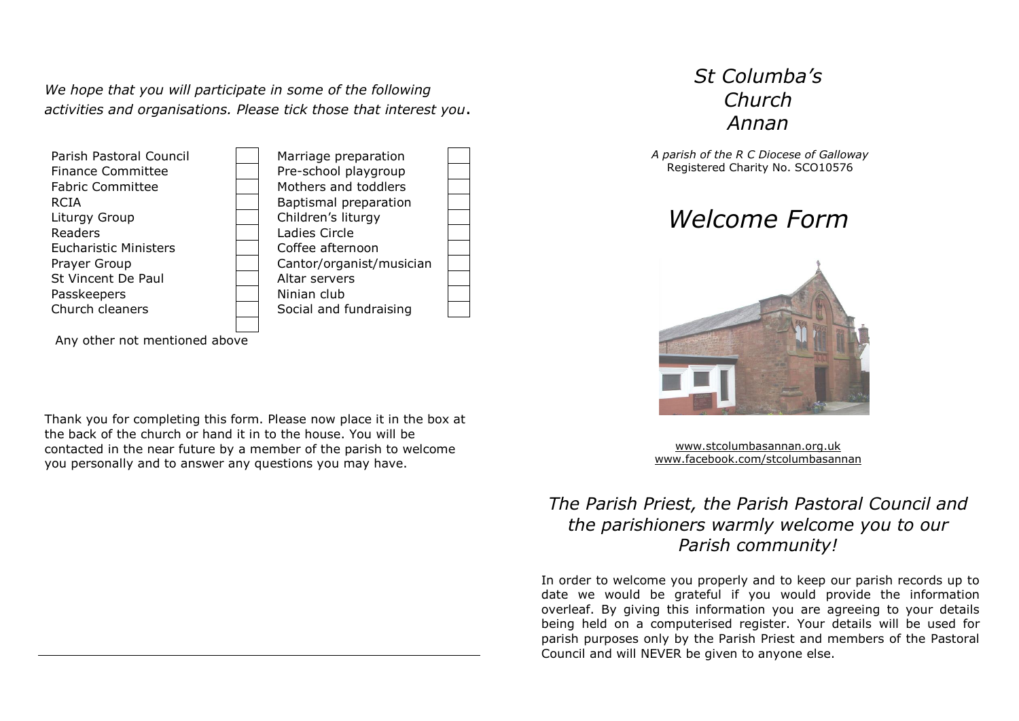*We hope that you will participate in some of the following activities and organisations. Please tick those that interest you*.



Any other not mentioned above

Thank you for completing this form. Please now place it in the box at the back of the church or hand it in to the house. You will be contacted in the near future by a member of the parish to welcome you personally and to answer any questions you may have.

## *St Columba's Church Annan*

*A parish of the R C Diocese of Galloway* Registered Charity No. SCO10576





[www.stcolumbasannan.org.uk](http://www.stcolumbasannan.org.uk/) [www.facebook.com/stcolumbasannan](http://www.facebook.com/stcolumbasannan)

## *The Parish Priest, the Parish Pastoral Council and the parishioners warmly welcome you to our Parish community!*

In order to welcome you properly and to keep our parish records up to date we would be grateful if you would provide the information overleaf. By giving this information you are agreeing to your details being held on a computerised register. Your details will be used for parish purposes only by the Parish Priest and members of the Pastoral Council and will NEVER be given to anyone else.